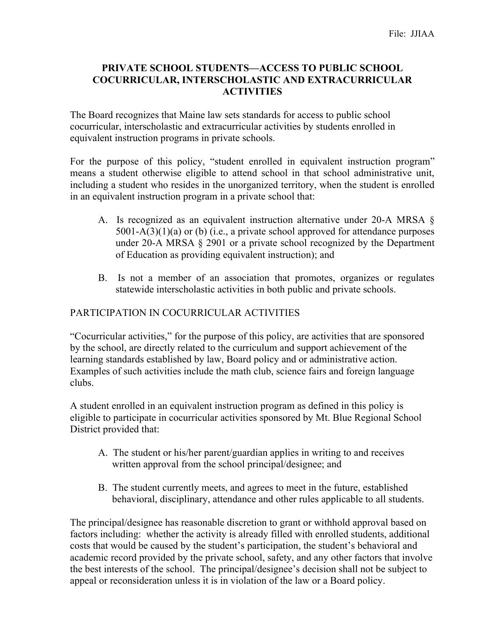### **PRIVATE SCHOOL STUDENTS—ACCESS TO PUBLIC SCHOOL COCURRICULAR, INTERSCHOLASTIC AND EXTRACURRICULAR ACTIVITIES**

The Board recognizes that Maine law sets standards for access to public school cocurricular, interscholastic and extracurricular activities by students enrolled in equivalent instruction programs in private schools.

For the purpose of this policy, "student enrolled in equivalent instruction program" means a student otherwise eligible to attend school in that school administrative unit, including a student who resides in the unorganized territory, when the student is enrolled in an equivalent instruction program in a private school that:

- A. Is recognized as an equivalent instruction alternative under 20-A MRSA § 5001-A(3)(1)(a) or (b) (i.e., a private school approved for attendance purposes under 20-A MRSA § 2901 or a private school recognized by the Department of Education as providing equivalent instruction); and
- B. Is not a member of an association that promotes, organizes or regulates statewide interscholastic activities in both public and private schools.

# PARTICIPATION IN COCURRICULAR ACTIVITIES

"Cocurricular activities," for the purpose of this policy, are activities that are sponsored by the school, are directly related to the curriculum and support achievement of the learning standards established by law, Board policy and or administrative action. Examples of such activities include the math club, science fairs and foreign language clubs.

A student enrolled in an equivalent instruction program as defined in this policy is eligible to participate in cocurricular activities sponsored by Mt. Blue Regional School District provided that:

- A. The student or his/her parent/guardian applies in writing to and receives written approval from the school principal/designee; and
- B. The student currently meets, and agrees to meet in the future, established behavioral, disciplinary, attendance and other rules applicable to all students.

The principal/designee has reasonable discretion to grant or withhold approval based on factors including: whether the activity is already filled with enrolled students, additional costs that would be caused by the student's participation, the student's behavioral and academic record provided by the private school, safety, and any other factors that involve the best interests of the school. The principal/designee's decision shall not be subject to appeal or reconsideration unless it is in violation of the law or a Board policy.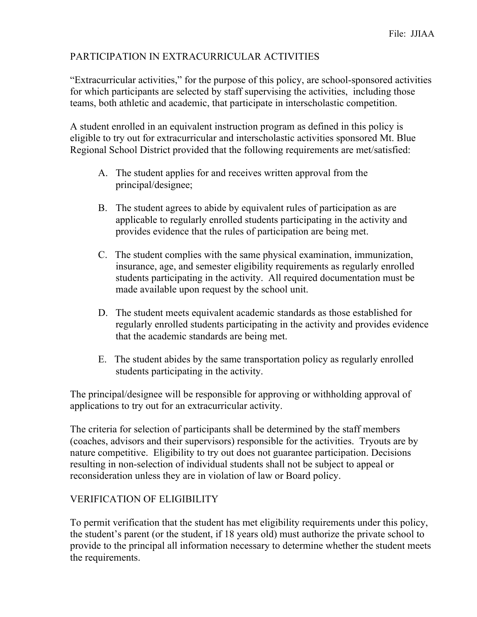## PARTICIPATION IN EXTRACURRICULAR ACTIVITIES

"Extracurricular activities," for the purpose of this policy, are school-sponsored activities for which participants are selected by staff supervising the activities, including those teams, both athletic and academic, that participate in interscholastic competition.

A student enrolled in an equivalent instruction program as defined in this policy is eligible to try out for extracurricular and interscholastic activities sponsored Mt. Blue Regional School District provided that the following requirements are met/satisfied:

- A. The student applies for and receives written approval from the principal/designee;
- B. The student agrees to abide by equivalent rules of participation as are applicable to regularly enrolled students participating in the activity and provides evidence that the rules of participation are being met.
- C. The student complies with the same physical examination, immunization, insurance, age, and semester eligibility requirements as regularly enrolled students participating in the activity. All required documentation must be made available upon request by the school unit.
- D. The student meets equivalent academic standards as those established for regularly enrolled students participating in the activity and provides evidence that the academic standards are being met.
- E. The student abides by the same transportation policy as regularly enrolled students participating in the activity.

The principal/designee will be responsible for approving or withholding approval of applications to try out for an extracurricular activity.

The criteria for selection of participants shall be determined by the staff members (coaches, advisors and their supervisors) responsible for the activities. Tryouts are by nature competitive. Eligibility to try out does not guarantee participation. Decisions resulting in non-selection of individual students shall not be subject to appeal or reconsideration unless they are in violation of law or Board policy.

#### VERIFICATION OF ELIGIBILITY

To permit verification that the student has met eligibility requirements under this policy, the student's parent (or the student, if 18 years old) must authorize the private school to provide to the principal all information necessary to determine whether the student meets the requirements.